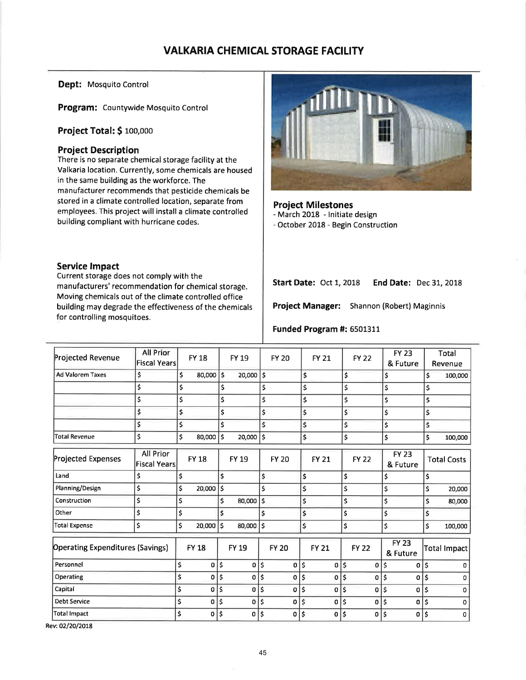# VALKARIA CHEMICAL STORAGE FACILITY

Dept: Mosquito Control

Program: Countywide Mosquito Control

**Project Total: \$ 100,000** 

### Project Description

There is no separate chemical storage facility at the Valkaria location. Currently, some chemicals are housed in the same building as the workforce. The manufacturer recommends that pesticide chemicals be stored in a climate controlled location, separate from employees. This project will install a climate controlled building compliant with hurricane codes.

### Service lmpact

Current storage does not comply with the manufacturers' recommendation for chemical storage. Moving chemicals out of the climate controlled office building may degrade the effectiveness of the chemicals for controlling mosquitoes.



Project Milestones

- March 2OL8 - lnitiate design

- October 2018 - Begin Construction

**Start Date: Oct 1, 2018 End Date: Dec 31, 2018** 

Project Manager: Shannon (Robert) Maginnis

### Funded Program #: 5501311

| <b>All Prior</b>                        |    | <b>FY 18</b>                                                       |              | FY 19                                            |              | <b>FY 20</b>  |             | <b>FY 21</b> |                                                                                               | <b>FY 22</b>            | <b>FY 23</b><br>& Future     |                             | Total<br>Revenue   |
|-----------------------------------------|----|--------------------------------------------------------------------|--------------|--------------------------------------------------|--------------|---------------|-------------|--------------|-----------------------------------------------------------------------------------------------|-------------------------|------------------------------|-----------------------------|--------------------|
| \$                                      | \$ |                                                                    |              |                                                  |              |               |             |              | \$                                                                                            |                         | \$                           | \$                          | 100,000            |
| \$                                      | \$ |                                                                    | \$           |                                                  | \$           |               |             |              | \$                                                                                            |                         | \$                           | \$                          |                    |
| \$                                      | \$ |                                                                    | \$           |                                                  | \$           |               |             |              | \$                                                                                            |                         | \$                           | \$                          |                    |
| \$                                      | \$ |                                                                    | \$           |                                                  | \$           |               |             |              | \$                                                                                            |                         | \$                           | \$                          |                    |
| \$                                      | \$ |                                                                    | \$           |                                                  | \$           |               |             |              | \$                                                                                            |                         | \$                           | \$                          |                    |
| \$                                      | \$ |                                                                    | $\mathsf{s}$ | 20,000                                           | \$           |               |             |              | \$                                                                                            |                         | \$                           | \$                          | 100,000            |
| <b>All Prior</b>                        |    | <b>FY 18</b>                                                       |              | <b>FY 19</b>                                     |              | <b>FY 20</b>  |             | <b>FY 21</b> | <b>FY 22</b>                                                                                  |                         | <b>FY 23</b><br>& Future     |                             | <b>Total Costs</b> |
| \$                                      | \$ |                                                                    | Ś            |                                                  | \$           |               |             |              | \$                                                                                            |                         | \$                           | \$                          |                    |
| \$                                      | \$ |                                                                    |              |                                                  | \$           |               |             |              | \$                                                                                            |                         | \$                           | \$                          | 20,000             |
| \$                                      | \$ |                                                                    | \$           | 80,000                                           | $\mathsf{s}$ |               |             |              | \$                                                                                            |                         | \$                           | \$                          | 80,000             |
| \$                                      | \$ |                                                                    | \$           |                                                  | Ś            |               |             |              | \$                                                                                            |                         | \$                           | \$                          |                    |
| \$                                      | \$ | 20,000                                                             | \$           |                                                  | \$           |               |             |              | \$                                                                                            |                         | \$                           | \$                          | 100,000            |
| <b>Operating Expenditures (Savings)</b> |    | <b>FY 18</b>                                                       |              | FY 19                                            |              | <b>FY 20</b>  |             | <b>FY 21</b> |                                                                                               | <b>FY 22</b>            | <b>FY 23</b><br>& Future     |                             | Total Impact       |
| Personnel                               |    | $\mathbf{0}$                                                       |              | $\mathfrak{o}$                                   | \$           | O             |             |              | \$                                                                                            |                         | $\mathbf 0$                  | \$                          |                    |
| Operating                               |    | 0                                                                  | \$           | 0                                                | \$           | 0             |             | O            | \$                                                                                            |                         | 0                            | \$                          | o                  |
| Capital                                 |    | 0                                                                  | \$           | 0                                                | \$           | O             |             | $\mathbf 0$  | \$                                                                                            |                         | 0                            | \$                          | O                  |
| <b>Debt Service</b>                     |    | $\mathbf 0$                                                        |              | 0                                                | \$           | 0             |             |              | \$                                                                                            |                         | $\mathbf{0}$                 | \$                          | 0                  |
|                                         | \$ | $\mathbf 0$                                                        | \$           | $\mathfrak{o}$                                   |              | O             |             |              |                                                                                               |                         |                              | \$                          | $\mathbf 0$        |
|                                         |    | <b>Fiscal Years</b><br><b>Fiscal Years</b><br>\$<br>\$<br>\$<br>\$ |              | 80,000 \$<br>80,000<br>$20,000$ \$<br>\$ ا<br>\$ |              | 80,000<br>١\$ | $20,000$ \$ |              | \$<br>\$<br>\$<br>\$<br>\$<br>\$<br>\$<br>\$<br>\$<br>\$<br>\$<br>\$<br>\$<br>\$<br>\$<br>١\$ | $\Omega$<br>0<br>$0$ \$ | $\Omega$<br>0<br>0<br>O<br>0 | Ś<br>\$<br>\$<br>١\$<br>۱\$ | $\Omega$           |

Rev:O2/2O/2OL8